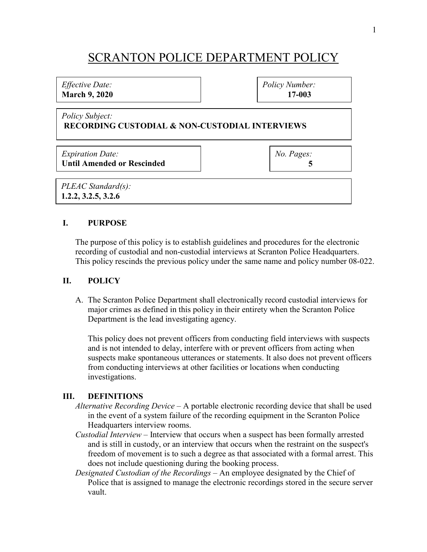# SCRANTON POLICE DEPARTMENT POLICY

#### *Effective Date:* **March 9, 2020**

*Policy Number:* **17-003**

#### *Policy Subject:* **RECORDING CUSTODIAL & NON-CUSTODIAL INTERVIEWS**

*Expiration Date:* **Until Amended or Rescinded** *No. Pages:*  **5**

*PLEAC Standard(s):* **1.2.2, 3.2.5, 3.2.6**

# **I. PURPOSE**

The purpose of this policy is to establish guidelines and procedures for the electronic recording of custodial and non-custodial interviews at Scranton Police Headquarters. This policy rescinds the previous policy under the same name and policy number 08-022.

## **II. POLICY**

A. The Scranton Police Department shall electronically record custodial interviews for major crimes as defined in this policy in their entirety when the Scranton Police Department is the lead investigating agency.

This policy does not prevent officers from conducting field interviews with suspects and is not intended to delay, interfere with or prevent officers from acting when suspects make spontaneous utterances or statements. It also does not prevent officers from conducting interviews at other facilities or locations when conducting investigations.

## **III. DEFINITIONS**

- *Alternative Recording Device* A portable electronic recording device that shall be used in the event of a system failure of the recording equipment in the Scranton Police Headquarters interview rooms.
- *Custodial Interview* Interview that occurs when a suspect has been formally arrested and is still in custody, or an interview that occurs when the restraint on the suspect's freedom of movement is to such a degree as that associated with a formal arrest. This does not include questioning during the booking process.
- *Designated Custodian of the Recordings* An employee designated by the Chief of Police that is assigned to manage the electronic recordings stored in the secure server vault.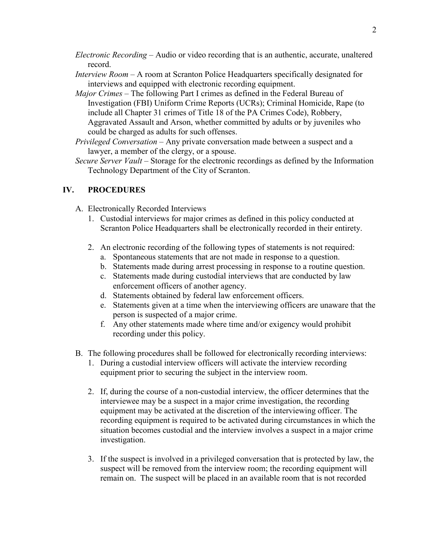- *Electronic Recording* Audio or video recording that is an authentic, accurate, unaltered record.
- *Interview Room* A room at Scranton Police Headquarters specifically designated for interviews and equipped with electronic recording equipment.
- *Major Crimes* The following Part I crimes as defined in the Federal Bureau of Investigation (FBI) Uniform Crime Reports (UCRs); Criminal Homicide, Rape (to include all Chapter 31 crimes of Title 18 of the PA Crimes Code), Robbery, Aggravated Assault and Arson, whether committed by adults or by juveniles who could be charged as adults for such offenses.
- *Privileged Conversation* Any private conversation made between a suspect and a lawyer, a member of the clergy, or a spouse.
- *Secure Server Vault* Storage for the electronic recordings as defined by the Information Technology Department of the City of Scranton.

# **IV. PROCEDURES**

- A. Electronically Recorded Interviews
	- 1. Custodial interviews for major crimes as defined in this policy conducted at Scranton Police Headquarters shall be electronically recorded in their entirety.
	- 2. An electronic recording of the following types of statements is not required:
		- a. Spontaneous statements that are not made in response to a question.
		- b. Statements made during arrest processing in response to a routine question.
		- c. Statements made during custodial interviews that are conducted by law enforcement officers of another agency.
		- d. Statements obtained by federal law enforcement officers.
		- e. Statements given at a time when the interviewing officers are unaware that the person is suspected of a major crime.
		- f. Any other statements made where time and/or exigency would prohibit recording under this policy.
- B. The following procedures shall be followed for electronically recording interviews:
	- 1. During a custodial interview officers will activate the interview recording equipment prior to securing the subject in the interview room.
	- 2. If, during the course of a non-custodial interview, the officer determines that the interviewee may be a suspect in a major crime investigation, the recording equipment may be activated at the discretion of the interviewing officer. The recording equipment is required to be activated during circumstances in which the situation becomes custodial and the interview involves a suspect in a major crime investigation.
	- 3. If the suspect is involved in a privileged conversation that is protected by law, the suspect will be removed from the interview room; the recording equipment will remain on. The suspect will be placed in an available room that is not recorded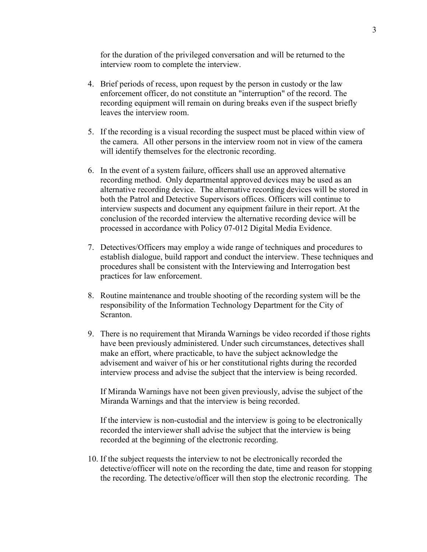for the duration of the privileged conversation and will be returned to the interview room to complete the interview.

- 4. Brief periods of recess, upon request by the person in custody or the law enforcement officer, do not constitute an "interruption" of the record. The recording equipment will remain on during breaks even if the suspect briefly leaves the interview room.
- 5. If the recording is a visual recording the suspect must be placed within view of the camera. All other persons in the interview room not in view of the camera will identify themselves for the electronic recording.
- 6. In the event of a system failure, officers shall use an approved alternative recording method. Only departmental approved devices may be used as an alternative recording device. The alternative recording devices will be stored in both the Patrol and Detective Supervisors offices. Officers will continue to interview suspects and document any equipment failure in their report. At the conclusion of the recorded interview the alternative recording device will be processed in accordance with Policy 07-012 Digital Media Evidence.
- 7. Detectives/Officers may employ a wide range of techniques and procedures to establish dialogue, build rapport and conduct the interview. These techniques and procedures shall be consistent with the Interviewing and Interrogation best practices for law enforcement.
- 8. Routine maintenance and trouble shooting of the recording system will be the responsibility of the Information Technology Department for the City of Scranton.
- 9. There is no requirement that Miranda Warnings be video recorded if those rights have been previously administered. Under such circumstances, detectives shall make an effort, where practicable, to have the subject acknowledge the advisement and waiver of his or her constitutional rights during the recorded interview process and advise the subject that the interview is being recorded.

If Miranda Warnings have not been given previously, advise the subject of the Miranda Warnings and that the interview is being recorded.

If the interview is non-custodial and the interview is going to be electronically recorded the interviewer shall advise the subject that the interview is being recorded at the beginning of the electronic recording.

10. If the subject requests the interview to not be electronically recorded the detective/officer will note on the recording the date, time and reason for stopping the recording. The detective/officer will then stop the electronic recording. The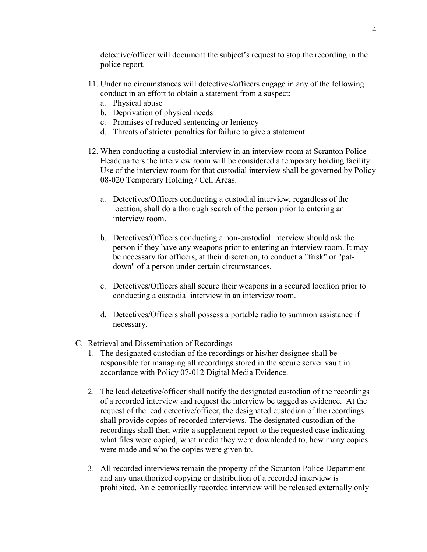detective/officer will document the subject's request to stop the recording in the police report.

- 11. Under no circumstances will detectives/officers engage in any of the following conduct in an effort to obtain a statement from a suspect:
	- a. Physical abuse
	- b. Deprivation of physical needs
	- c. Promises of reduced sentencing or leniency
	- d. Threats of stricter penalties for failure to give a statement
- 12. When conducting a custodial interview in an interview room at Scranton Police Headquarters the interview room will be considered a temporary holding facility. Use of the interview room for that custodial interview shall be governed by Policy 08-020 Temporary Holding / Cell Areas.
	- a. Detectives/Officers conducting a custodial interview, regardless of the location, shall do a thorough search of the person prior to entering an interview room.
	- b. Detectives/Officers conducting a non-custodial interview should ask the person if they have any weapons prior to entering an interview room. It may be necessary for officers, at their discretion, to conduct a "frisk" or "patdown" of a person under certain circumstances.
	- c. Detectives/Officers shall secure their weapons in a secured location prior to conducting a custodial interview in an interview room.
	- d. Detectives/Officers shall possess a portable radio to summon assistance if necessary.
- C. Retrieval and Dissemination of Recordings
	- 1. The designated custodian of the recordings or his/her designee shall be responsible for managing all recordings stored in the secure server vault in accordance with Policy 07-012 Digital Media Evidence.
	- 2. The lead detective/officer shall notify the designated custodian of the recordings of a recorded interview and request the interview be tagged as evidence. At the request of the lead detective/officer, the designated custodian of the recordings shall provide copies of recorded interviews. The designated custodian of the recordings shall then write a supplement report to the requested case indicating what files were copied, what media they were downloaded to, how many copies were made and who the copies were given to.
	- 3. All recorded interviews remain the property of the Scranton Police Department and any unauthorized copying or distribution of a recorded interview is prohibited. An electronically recorded interview will be released externally only